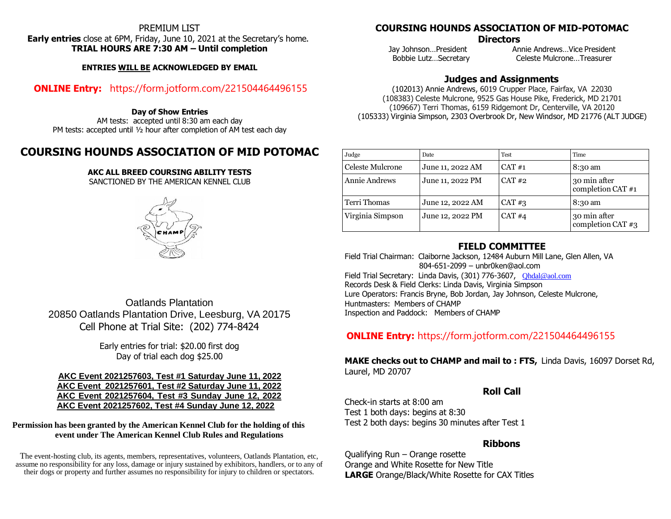### PREMIUM LIST

**Early entries** close at 6PM, Friday, June 10, 2021 at the Secretary's home. **TRIAL HOURS ARE 7:30 AM – Until completion**

### **ENTRIES WILL BE ACKNOWLEDGED BY EMAIL**

 **ONLINE Entry:** https://form.jotform.com/221504464496155

#### **Day of Show Entries**

AM tests: accepted until 8:30 am each day PM tests: accepted until 1/2 hour after completion of AM test each day

# **COURSING HOUNDS ASSOCIATION OF MID POTOMAC**

### **AKC ALL BREED COURSING ABILITY TESTS**

SANCTIONED BY THE AMERICAN KENNEL CLUB



## **COURSING HOUNDS ASSOCIATION OF MID-POTOMAC**

**Directors**

Jay Johnson...President Annie Andrews...Vice President Bobbie Lutz…Secretary Celeste Mulcrone…Treasurer

### **Judges and Assignments**

(102013) Annie Andrews, 6019 Crupper Place, Fairfax, VA 22030 (108383) Celeste Mulcrone, 9525 Gas House Pike, Frederick, MD 21701 (109667) Terri Thomas, 6159 Ridgemont Dr, Centerville, VA 20120 (105333) Virginia Simpson, 2303 Overbrook Dr, New Windsor, MD 21776 (ALT JUDGE)

| Judge                | Date.            | <b>Test</b> | Time                              |
|----------------------|------------------|-------------|-----------------------------------|
| Celeste Mulcrone     | June 11, 2022 AM | CAT#1       | 8:30 am                           |
| <b>Annie Andrews</b> | June 11, 2022 PM | CAT#2       | 30 min after<br>completion CAT #1 |
| Terri Thomas         | June 12, 2022 AM | CAT#3       | 8:30 am                           |
| Virginia Simpson     | June 12, 2022 PM | CAT #4      | 30 min after<br>completion CAT #3 |

# **FIELD COMMITTEE**

Field Trial Chairman: Claiborne Jackson, 12484 Auburn Mill Lane, Glen Allen, VA 804-651-2099 – [unbr0ken@aol.com](mailto:unbr0ken@aol.com) Field Trial Secretary: Linda Davis, (301) 776-3607, Ohdal@aol.com Records Desk & Field Clerks: Linda Davis, Virginia Simpson Lure Operators: Francis Bryne, Bob Jordan, Jay Johnson, Celeste Mulcrone, Huntmasters: Members of CHAMP Inspection and Paddock: Members of CHAMP

# **ONLINE Entry:** https://form.jotform.com/221504464496155

**MAKE checks out to CHAMP and mail to : FTS,** Linda Davis, 16097 Dorset Rd, Laurel, MD 20707

### **Roll Call**

Check-in starts at 8:00 am Test 1 both days: begins at 8:30 Test 2 both days: begins 30 minutes after Test 1

### **Ribbons**

Qualifying Run – Orange rosette Orange and White Rosette for New Title **LARGE** Orange/Black/White Rosette for CAX Titles

Oatlands Plantation 20850 Oatlands Plantation Drive, Leesburg, VA 20175 Cell Phone at Trial Site: (202) 774-8424

> Early entries for trial: \$20.00 first dog Day of trial each dog \$25.00

**AKC Event 2021257603, Test #1 Saturday June 11, 2022 AKC Event 2021257601, Test #2 Saturday June 11, 2022 AKC Event 2021257604, Test #3 Sunday June 12, 2022 AKC Event 2021257602, Test #4 Sunday June 12, 2022**

### **Permission has been granted by the American Kennel Club for the holding of this event under The American Kennel Club Rules and Regulations**

The event-hosting club, its agents, members, representatives, volunteers, Oatlands Plantation, etc, assume no responsibility for any loss, damage or injury sustained by exhibitors, handlers, or to any of their dogs or property and further assumes no responsibility for injury to children or spectators.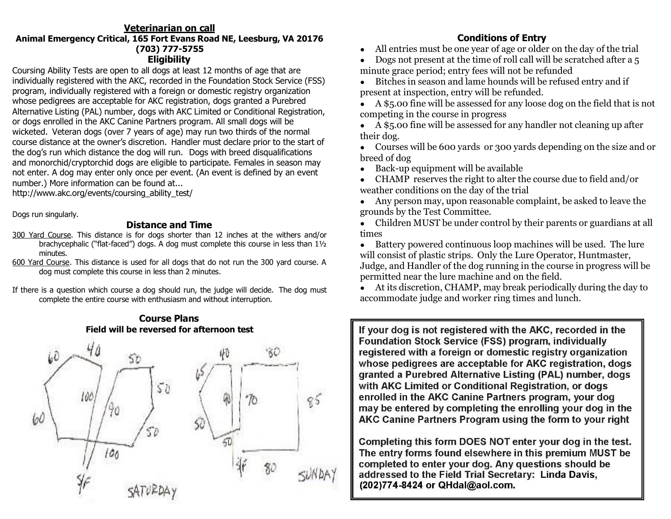### **Veterinarian on call Animal Emergency Critical, 165 Fort Evans Road NE, Leesburg, VA 20176 (703) 777-5755 Eligibility**

Coursing Ability Tests are open to all dogs at least 12 months of age that are individually registered with the AKC, recorded in the Foundation Stock Service (FSS) program, individually registered with a foreign or domestic registry organization whose pedigrees are acceptable for AKC registration, dogs granted a Purebred Alternative Listing (PAL) number, dogs with AKC Limited or Conditional Registration, or dogs enrolled in the AKC Canine Partners program. All small dogs will be wicketed. Veteran dogs (over 7 years of age) may run two thirds of the normal course distance at the owner's discretion. Handler must declare prior to the start of the dog's run which distance the dog will run. Dogs with breed disqualifications and monorchid/cryptorchid dogs are eligible to participate. Females in season may not enter. A dog may enter only once per event. (An event is defined by an event number.) More information can be found at...

[http://www.akc.org/events/coursing\\_ability\\_test/](http://www.akc.org/events/coursing_ability_test/)

Dogs run singularly.

### **Distance and Time**

- 300 Yard Course. This distance is for dogs shorter than 12 inches at the withers and/or brachycephalic ("flat-faced") dogs. A dog must complete this course in less than 1½ minutes.
- 600 Yard Course. This distance is used for all dogs that do not run the 300 yard course. A dog must complete this course in less than 2 minutes.

If there is a question which course a dog should run, the judge will decide. The dog must complete the entire course with enthusiasm and without interruption.

### **Course Plans Field will be reversed for afternoon test**



# **Conditions of Entry**

All entries must be one year of age or older on the day of the trial

- Dogs not present at the time of roll call will be scratched after a  $\frac{1}{5}$ minute grace period; entry fees will not be refunded
- Bitches in season and lame hounds will be refused entry and if present at inspection, entry will be refunded.
- $\bullet$  A \$5.00 fine will be assessed for any loose dog on the field that is not competing in the course in progress
- $\overline{A}$  \$5.00 fine will be assessed for any handler not cleaning up after their dog.

• Courses will be 600 yards or 300 yards depending on the size and or breed of dog

- Back-up equipment will be available
- CHAMP reserves the right to alter the course due to field and/or weather conditions on the day of the trial
- Any person may, upon reasonable complaint, be asked to leave the grounds by the Test Committee.
- Children MUST be under control by their parents or guardians at all times

• Battery powered continuous loop machines will be used. The lure will consist of plastic strips. Only the Lure Operator, Huntmaster, Judge, and Handler of the dog running in the course in progress will be permitted near the lure machine and on the field.

 $\bullet$  At its discretion, CHAMP, may break periodically during the day to accommodate judge and worker ring times and lunch.

If your dog is not registered with the AKC, recorded in the **Foundation Stock Service (FSS) program, individually** registered with a foreign or domestic registry organization whose pedigrees are acceptable for AKC registration, dogs granted a Purebred Alternative Listing (PAL) number, dogs with AKC Limited or Conditional Registration, or dogs enrolled in the AKC Canine Partners program, your dog may be entered by completing the enrolling your dog in the AKC Canine Partners Program using the form to your right

Completing this form DOES NOT enter your dog in the test. The entry forms found elsewhere in this premium MUST be completed to enter your dog. Any questions should be addressed to the Field Trial Secretary: Linda Davis, (202)774-8424 or QHdal@aol.com.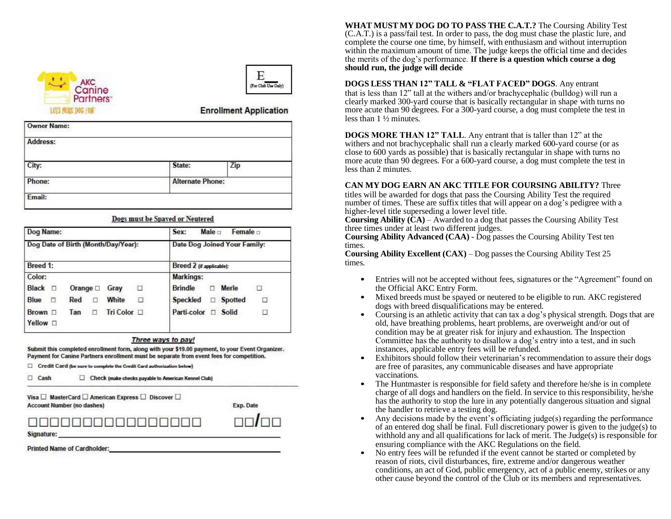



**Enrollment Application** 

| <b>Owner Name:</b> |                         |     |
|--------------------|-------------------------|-----|
| <b>Address:</b>    |                         |     |
| City:              | State:                  | Zip |
| Phone:             | <b>Alternate Phone:</b> |     |
| Email:             |                         |     |

### Dogs must be Spayed or Neutered

| Dog Name:                          |                                     | Male $\Box$<br>Sex:<br>Female n |                              |                  |        |                                        |    |
|------------------------------------|-------------------------------------|---------------------------------|------------------------------|------------------|--------|----------------------------------------|----|
|                                    | Dog Date of Birth (Month/Day/Year): |                                 | Date Dog Joined Your Family: |                  |        |                                        |    |
| Breed 1:                           |                                     |                                 |                              |                  |        | Breed 2 (if applicable):               |    |
| Color:                             |                                     |                                 |                              |                  |        | <b>Markings:</b>                       |    |
| <b>Black</b>                       | $\Box$                              |                                 |                              | Orange C Gray    | $\Box$ | <b>Brindle</b><br>Merle<br>п<br>$\Box$ |    |
| Blue                               | $\Box$                              | Red                             | □                            | White            | □      | <b>Speckled</b><br><b>Spotted</b>      | Π  |
| Brown $\square$<br>Yellow <b>D</b> |                                     | Tan                             | $\Box$                       | Tri Color $\Box$ |        | Parti-color D Solid                    | Ō, |

#### Three ways to pay!

Submit this completed enrollment form, along with your \$19.00 payment, to your Event Organizer. Payment for Canine Partners enrollment must be separate from event fees for competition.

□ Credit Card (be sure to complete the Credit Card authorization below)

□ Cash Check (make checks payable to American Kennel Club)



**WHAT MUST MY DOG DO TO PASS THE C.A.T.?** The Coursing Ability Test (C.A.T.) is a pass/fail test. In order to pass, the dog must chase the plastic lure, and complete the course one time, by himself, with enthusiasm and without interruption within the maximum amount of time. The judge keeps the official time and decides the merits of the dog's performance. **If there is a question which course a dog should run, the judge will decide**

### **DOGS LESS THAN 12" TALL & "FLAT FACED" DOGS**. Any entrant

that is less than 12" tall at the withers and/or brachycephalic (bulldog) will run a clearly marked 300-yard course that is basically rectangular in shape with turns no more acute than 90 degrees. For a 300-yard course, a dog must complete the test in less than 1 ½ minutes.

**DOGS MORE THAN 12" TALL**. Any entrant that is taller than 12" at the withers and not brachycephalic shall run a clearly marked 600-yard course (or as close to 600 yards as possible) that is basically rectangular in shape with turns no more acute than 90 degrees. For a 600-yard course, a dog must complete the test in less than 2 minutes.

### **CAN MY DOG EARN AN AKC TITLE FOR COURSING ABILITY?** Three

titles will be awarded for dogs that pass the Coursing Ability Test the required number of times. These are suffix titles that will appear on a dog's pedigree with a higher-level title superseding a lower level title.

**Coursing Ability (CA)** – Awarded to a dog that passes the Coursing Ability Test three times under at least two different judges.

**Coursing Ability Advanced (CAA)** - Dog passes the Coursing Ability Test ten times.

**Coursing Ability Excellent (CAX)** – Dog passes the Coursing Ability Test 25 times.

- Entries will not be accepted without fees, signatures or the "Agreement" found on the Official AKC Entry Form.
- Mixed breeds must be spayed or neutered to be eligible to run. AKC registered dogs with breed disqualifications may be entered.
- Coursing is an athletic activity that can tax a dog's physical strength. Dogs that are old, have breathing problems, heart problems, are overweight and/or out of condition may be at greater risk for injury and exhaustion. The Inspection Committee has the authority to disallow a dog's entry into a test, and in such instances, applicable entry fees will be refunded.
- Exhibitors should follow their veterinarian's recommendation to assure their dogs are free of parasites, any communicable diseases and have appropriate vaccinations.
- The Huntmaster is responsible for field safety and therefore he/she is in complete charge of all dogs and handlers on the field. In service to thisresponsibility, he/she has the authority to stop the lure in any potentially dangerous situation and signal the handler to retrieve a testing dog.
- Any decisions made by the event's officiating judge(s) regarding the performance of an entered dog shall be final. Full discretionary power is given to the judge(s) to withhold any and all qualifications for lack of merit. The Judge(s) is responsible for ensuring compliance with the AKC Regulations on the field.
- No entry fees will be refunded if the event cannot be started or completed by reason of riots, civil disturbances, fire, extreme and/or dangerous weather conditions, an act of God, public emergency, act of a public enemy, strikes or any other cause beyond the control of the Club or its members and representatives.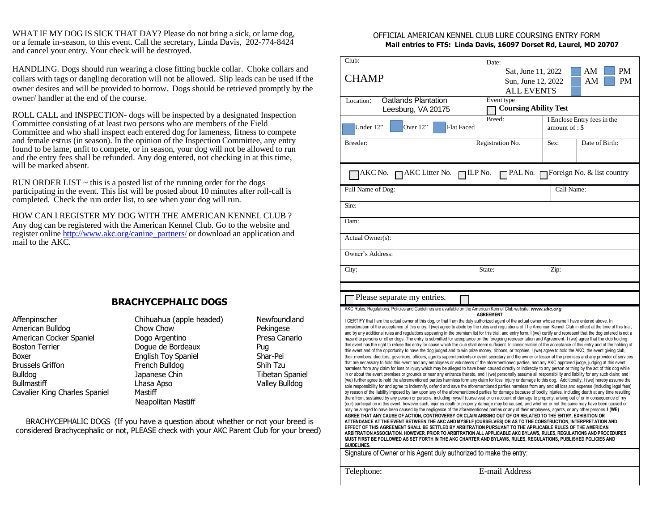WHAT IF MY DOG IS SICK THAT DAY? Please do not bring a sick, or lame dog, or a female in-season, to this event. Call the secretary, Linda Davis, 202-774-8424 and cancel your entry. Your check will be destroyed.

HANDLING. Dogs should run wearing a close fitting buckle collar. Choke collars and collars with tags or dangling decoration will not be allowed. Slip leads can be used if the owner desires and will be provided to borrow. Dogs should be retrieved promptly by the owner/ handler at the end of the course.

ROLL CALL and INSPECTION- dogs will be inspected by a designated Inspection Committee consisting of at least two persons who are members of the Field Committee and who shall inspect each entered dog for lameness, fitness to compete and female estrus (in season). In the opinion of the Inspection Committee, any entry found to be lame, unfit to compete, or in season, your dog will not be allowed to run and the entry fees shall be refunded. Any dog entered, not checking in at this time, will be marked absent.

RUN ORDER LIST  $\sim$  this is a posted list of the running order for the dogs participating in the event. This list will be posted about 10 minutes after roll-call is completed. Check the run order list, to see when your dog will run.

HOW CAN I REGISTER MY DOG WITH THE AMERICAN KENNEL CLUB ? Any dog can be registered with the American Kennel Club. Go to the website and register online [http://www.akc.org/canine\\_partners/](http://www.akc.org/canine_partners/) or download an application and mail to the AKC.

### **BRACHYCEPHALIC DOGS**

| Affenpinscher                 | Chihuahua (apple headed) | Newfoundland           |
|-------------------------------|--------------------------|------------------------|
| American Bulldog              | Chow Chow                | Pekingese              |
| American Cocker Spaniel       | Dogo Argentino           | Presa Canario          |
| <b>Boston Terrier</b>         | Doque de Bordeaux        | Pug                    |
| Boxer                         | English Toy Spaniel      | Shar-Pei               |
| Brussels Griffon              | French Bulldog           | Shih Tzu               |
| Bulldog                       | Japanese Chin            | <b>Tibetan Spaniel</b> |
| <b>Bullmastiff</b>            | Lhasa Apso               | Valley Bulldog         |
| Cavalier King Charles Spaniel | Mastiff                  |                        |
|                               | Neapolitan Mastiff       |                        |

BRACHYCEPHALIC DOGS (If you have a question about whether or not your breed is considered Brachycephalic or not, PLEASE check with your AKC Parent Club for your breed)

#### OFFICIAL AMERICAN KENNEL CLUB LURE COURSING ENTRY FORM **Mail entries to FTS: Linda Davis, 16097 Dorset Rd, Laurel, MD 20707**

| Club:                                                                                                                                                                                                                                                                                                                                                                                                                                                                                                                                                                                                                                                                                                                                                                                                                                                                                                                                                                                                                                                                                                                                                                                                                                                                                                                                                                                                                                                                                                                                                                                                                                                                                                                                                                                                                                                                                                                                                                                                                                                                                                                                                                                                                                                                                                                                                                                                                                                                                                                                                                                                                                                                                                                                                                                                                                                                                                                                                                                                                                                                                                                                                                                                                                            |                                                                                                       |                  |            |                                                  |  |  |
|--------------------------------------------------------------------------------------------------------------------------------------------------------------------------------------------------------------------------------------------------------------------------------------------------------------------------------------------------------------------------------------------------------------------------------------------------------------------------------------------------------------------------------------------------------------------------------------------------------------------------------------------------------------------------------------------------------------------------------------------------------------------------------------------------------------------------------------------------------------------------------------------------------------------------------------------------------------------------------------------------------------------------------------------------------------------------------------------------------------------------------------------------------------------------------------------------------------------------------------------------------------------------------------------------------------------------------------------------------------------------------------------------------------------------------------------------------------------------------------------------------------------------------------------------------------------------------------------------------------------------------------------------------------------------------------------------------------------------------------------------------------------------------------------------------------------------------------------------------------------------------------------------------------------------------------------------------------------------------------------------------------------------------------------------------------------------------------------------------------------------------------------------------------------------------------------------------------------------------------------------------------------------------------------------------------------------------------------------------------------------------------------------------------------------------------------------------------------------------------------------------------------------------------------------------------------------------------------------------------------------------------------------------------------------------------------------------------------------------------------------------------------------------------------------------------------------------------------------------------------------------------------------------------------------------------------------------------------------------------------------------------------------------------------------------------------------------------------------------------------------------------------------------------------------------------------------------------------------------------------------|-------------------------------------------------------------------------------------------------------|------------------|------------|--------------------------------------------------|--|--|
| <b>CHAMP</b>                                                                                                                                                                                                                                                                                                                                                                                                                                                                                                                                                                                                                                                                                                                                                                                                                                                                                                                                                                                                                                                                                                                                                                                                                                                                                                                                                                                                                                                                                                                                                                                                                                                                                                                                                                                                                                                                                                                                                                                                                                                                                                                                                                                                                                                                                                                                                                                                                                                                                                                                                                                                                                                                                                                                                                                                                                                                                                                                                                                                                                                                                                                                                                                                                                     | Date:<br>Sat, June 11, 2022<br>AМ<br>PМ<br>Sun, June 12, 2022<br>AM<br><b>PM</b><br><b>ALL EVENTS</b> |                  |            |                                                  |  |  |
| <b>Oatlands Plantation</b><br>Location:<br>Leesburg, VA 20175                                                                                                                                                                                                                                                                                                                                                                                                                                                                                                                                                                                                                                                                                                                                                                                                                                                                                                                                                                                                                                                                                                                                                                                                                                                                                                                                                                                                                                                                                                                                                                                                                                                                                                                                                                                                                                                                                                                                                                                                                                                                                                                                                                                                                                                                                                                                                                                                                                                                                                                                                                                                                                                                                                                                                                                                                                                                                                                                                                                                                                                                                                                                                                                    | Event type<br><b>Coursing Ability Test</b>                                                            |                  |            |                                                  |  |  |
| Under 12"<br>Over 12"                                                                                                                                                                                                                                                                                                                                                                                                                                                                                                                                                                                                                                                                                                                                                                                                                                                                                                                                                                                                                                                                                                                                                                                                                                                                                                                                                                                                                                                                                                                                                                                                                                                                                                                                                                                                                                                                                                                                                                                                                                                                                                                                                                                                                                                                                                                                                                                                                                                                                                                                                                                                                                                                                                                                                                                                                                                                                                                                                                                                                                                                                                                                                                                                                            | <b>Flat Faced</b>                                                                                     |                  |            | I Enclose Entry fees in the<br>amount of $:$ \$  |  |  |
| Breeder:                                                                                                                                                                                                                                                                                                                                                                                                                                                                                                                                                                                                                                                                                                                                                                                                                                                                                                                                                                                                                                                                                                                                                                                                                                                                                                                                                                                                                                                                                                                                                                                                                                                                                                                                                                                                                                                                                                                                                                                                                                                                                                                                                                                                                                                                                                                                                                                                                                                                                                                                                                                                                                                                                                                                                                                                                                                                                                                                                                                                                                                                                                                                                                                                                                         |                                                                                                       | Registration No. | Sex:       | Date of Birth:                                   |  |  |
| AKC No. $\Box$ AKC Litter No. $\Box$ ILP No.                                                                                                                                                                                                                                                                                                                                                                                                                                                                                                                                                                                                                                                                                                                                                                                                                                                                                                                                                                                                                                                                                                                                                                                                                                                                                                                                                                                                                                                                                                                                                                                                                                                                                                                                                                                                                                                                                                                                                                                                                                                                                                                                                                                                                                                                                                                                                                                                                                                                                                                                                                                                                                                                                                                                                                                                                                                                                                                                                                                                                                                                                                                                                                                                     |                                                                                                       |                  |            | $\Box$ PAL No. $\Box$ Foreign No. & list country |  |  |
| Full Name of Dog:                                                                                                                                                                                                                                                                                                                                                                                                                                                                                                                                                                                                                                                                                                                                                                                                                                                                                                                                                                                                                                                                                                                                                                                                                                                                                                                                                                                                                                                                                                                                                                                                                                                                                                                                                                                                                                                                                                                                                                                                                                                                                                                                                                                                                                                                                                                                                                                                                                                                                                                                                                                                                                                                                                                                                                                                                                                                                                                                                                                                                                                                                                                                                                                                                                |                                                                                                       |                  | Call Name: |                                                  |  |  |
| Sire:                                                                                                                                                                                                                                                                                                                                                                                                                                                                                                                                                                                                                                                                                                                                                                                                                                                                                                                                                                                                                                                                                                                                                                                                                                                                                                                                                                                                                                                                                                                                                                                                                                                                                                                                                                                                                                                                                                                                                                                                                                                                                                                                                                                                                                                                                                                                                                                                                                                                                                                                                                                                                                                                                                                                                                                                                                                                                                                                                                                                                                                                                                                                                                                                                                            |                                                                                                       |                  |            |                                                  |  |  |
| Dam:                                                                                                                                                                                                                                                                                                                                                                                                                                                                                                                                                                                                                                                                                                                                                                                                                                                                                                                                                                                                                                                                                                                                                                                                                                                                                                                                                                                                                                                                                                                                                                                                                                                                                                                                                                                                                                                                                                                                                                                                                                                                                                                                                                                                                                                                                                                                                                                                                                                                                                                                                                                                                                                                                                                                                                                                                                                                                                                                                                                                                                                                                                                                                                                                                                             |                                                                                                       |                  |            |                                                  |  |  |
| Actual Owner(s):                                                                                                                                                                                                                                                                                                                                                                                                                                                                                                                                                                                                                                                                                                                                                                                                                                                                                                                                                                                                                                                                                                                                                                                                                                                                                                                                                                                                                                                                                                                                                                                                                                                                                                                                                                                                                                                                                                                                                                                                                                                                                                                                                                                                                                                                                                                                                                                                                                                                                                                                                                                                                                                                                                                                                                                                                                                                                                                                                                                                                                                                                                                                                                                                                                 |                                                                                                       |                  |            |                                                  |  |  |
| Owner's Address:                                                                                                                                                                                                                                                                                                                                                                                                                                                                                                                                                                                                                                                                                                                                                                                                                                                                                                                                                                                                                                                                                                                                                                                                                                                                                                                                                                                                                                                                                                                                                                                                                                                                                                                                                                                                                                                                                                                                                                                                                                                                                                                                                                                                                                                                                                                                                                                                                                                                                                                                                                                                                                                                                                                                                                                                                                                                                                                                                                                                                                                                                                                                                                                                                                 |                                                                                                       |                  |            |                                                  |  |  |
| City:                                                                                                                                                                                                                                                                                                                                                                                                                                                                                                                                                                                                                                                                                                                                                                                                                                                                                                                                                                                                                                                                                                                                                                                                                                                                                                                                                                                                                                                                                                                                                                                                                                                                                                                                                                                                                                                                                                                                                                                                                                                                                                                                                                                                                                                                                                                                                                                                                                                                                                                                                                                                                                                                                                                                                                                                                                                                                                                                                                                                                                                                                                                                                                                                                                            |                                                                                                       | State:           | Zip:       |                                                  |  |  |
|                                                                                                                                                                                                                                                                                                                                                                                                                                                                                                                                                                                                                                                                                                                                                                                                                                                                                                                                                                                                                                                                                                                                                                                                                                                                                                                                                                                                                                                                                                                                                                                                                                                                                                                                                                                                                                                                                                                                                                                                                                                                                                                                                                                                                                                                                                                                                                                                                                                                                                                                                                                                                                                                                                                                                                                                                                                                                                                                                                                                                                                                                                                                                                                                                                                  |                                                                                                       |                  |            |                                                  |  |  |
| Please separate my entries.                                                                                                                                                                                                                                                                                                                                                                                                                                                                                                                                                                                                                                                                                                                                                                                                                                                                                                                                                                                                                                                                                                                                                                                                                                                                                                                                                                                                                                                                                                                                                                                                                                                                                                                                                                                                                                                                                                                                                                                                                                                                                                                                                                                                                                                                                                                                                                                                                                                                                                                                                                                                                                                                                                                                                                                                                                                                                                                                                                                                                                                                                                                                                                                                                      |                                                                                                       |                  |            |                                                  |  |  |
| AKC Rules, Regulations, Policies and Guidelines are available on the American Kennel Club website: www.akc.org                                                                                                                                                                                                                                                                                                                                                                                                                                                                                                                                                                                                                                                                                                                                                                                                                                                                                                                                                                                                                                                                                                                                                                                                                                                                                                                                                                                                                                                                                                                                                                                                                                                                                                                                                                                                                                                                                                                                                                                                                                                                                                                                                                                                                                                                                                                                                                                                                                                                                                                                                                                                                                                                                                                                                                                                                                                                                                                                                                                                                                                                                                                                   |                                                                                                       |                  |            |                                                  |  |  |
| I CERTIFY that I am the actual owner of this dog, or that I am the duly authorized agent of the actual owner whose name I have entered above. In<br>consideration of the acceptance of this entry. I (we) agree to abide by the rules and regulations of The American Kennel Club in effect at the time of this trial,<br>and by any additional rules and requlations appearing in the premium list for this trial, and entry form. I (we) certify and represent that the dog entered is not a<br>hazard to persons or other dogs. The entry is submitted for acceptance on the foregoing representation and Agreement. I (we) agree that the club holding<br>this event has the right to refuse this entry for cause which the club shall deem sufficient. In consideration of the acceptance of this entry and of the holding of<br>this event and of the opportunity to have the dog judged and to win prize money, ribbons, or trophies, I (we) agree to hold the AKC, the event giving club,<br>their members, directors, governors, officers, agents superintendents or event secretary and the owner or lessor of the premises and any provider of services<br>that are necessary to hold this event and any employees or volunteers of the aforementioned parties, and any AKC approved judge, judging at this event,<br>harmless from any claim for loss or injury which may be alleged to have been caused directly or indirectly to any person or thing by the act of this dog while<br>in or about the event premises or grounds or near any entrance thereto, and I (we) personally assume all responsibility and liability for any such claim; and I<br>(we) further agree to hold the aforementioned parties harmless form any claim for loss, injury or damage to this dog. Additionally, I (we) hereby assume the<br>sole responsibility for and agree to indemnify, defend and save the aforementioned parties harmless from any and all loss and expense (including legal fees)<br>by reason of the liability imposed by law upon any of the aforementioned parties for damage because of bodily injuries, including death at any time resulting<br>there from, sustained by any person or persons, including myself (ourselves) or on account of damage to property, arising out of or in consequence of my<br>(our) participation in this event, however such, injuries death or property damage may be caused, and whether or not the same may have been caused or<br>may be alleged to have been caused by the negligence of the aforementioned parties or any of their employees, agents, or any other persons. I (WE)<br>AGREE THAT ANY CAUSE OF ACTION, CONTROVERSY OR CLAIM ARISING OUT OF OR RELATED TO THE ENTRY, EXHIBITION OR<br>ATTENDANCE AT THE EVENT BETWEEN THE AKC AND MYSELF (OURSELVES) OR AS TO THE CONSTRUCTION, INTERPRETATION AND<br>EFFECT OF THIS AGREEMENT SHALL BE SETTLED BY ARBITRATION PURSUANT TO THE APPLICABLE RULES OF THE AMERICAN<br>ARBITRATION ASSOCIATION. HOWEVER, PRIOR TO ARBITRATION ALL APPLICABLE AKC BYLAWS, RULES, REGULATIONS AND PROCEDURES<br>MUST FIRST BE FOLLOWED AS SET FORTH IN THE AKC CHARTER AND BYLAWS, RULES, REGULATIONS, PUBLISHED POLICIES AND<br>GUIDELINES. |                                                                                                       | <b>AGREEMENT</b> |            |                                                  |  |  |
| Signature of Owner or his Agent duly authorized to make the entry:                                                                                                                                                                                                                                                                                                                                                                                                                                                                                                                                                                                                                                                                                                                                                                                                                                                                                                                                                                                                                                                                                                                                                                                                                                                                                                                                                                                                                                                                                                                                                                                                                                                                                                                                                                                                                                                                                                                                                                                                                                                                                                                                                                                                                                                                                                                                                                                                                                                                                                                                                                                                                                                                                                                                                                                                                                                                                                                                                                                                                                                                                                                                                                               |                                                                                                       |                  |            |                                                  |  |  |
| Telephone:                                                                                                                                                                                                                                                                                                                                                                                                                                                                                                                                                                                                                                                                                                                                                                                                                                                                                                                                                                                                                                                                                                                                                                                                                                                                                                                                                                                                                                                                                                                                                                                                                                                                                                                                                                                                                                                                                                                                                                                                                                                                                                                                                                                                                                                                                                                                                                                                                                                                                                                                                                                                                                                                                                                                                                                                                                                                                                                                                                                                                                                                                                                                                                                                                                       |                                                                                                       | E-mail Address   |            |                                                  |  |  |